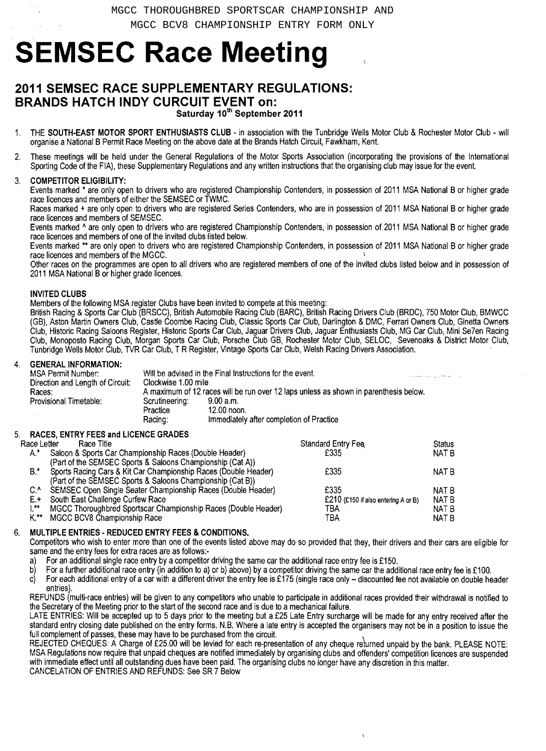# **SEMSEC Race Meeting**

# **2011 SEMSEC RACE SUPPLEMENTARY REGULATIONS: BRANDS HATCH INDY CURCUIT EVENT** on:

Saturday 10th September 2011

- THE SOUTH-EAST MOTOR SPORT ENTHUSIASTS CLUB in association with the Tunbridge Wells Motor Club & Rochester Motor Club will organise a National B Permit Race Meeting on the above date at the Brands Hatch Circuit, Fawkham, Kent.
- 2. These meetings will be held under the General Regulations of the Motor Sports Association (incorporating the provisions of the International Sporting Code of the FIA), these Supplementary Regulations and any written instructions that the organising club may issue for the event.

# 3. COMPETITOR ELIGIBILITY:

Events marked \* are only open to drivers who are registered Championship Contenders, in possession of 2011 MSA National B or higher grade race licences and members of either the SEMSEC or TWMC.

Races marked + are only open to drivers who are registered Series Contenders, who are in possession of 2011 MSA National B or higher grade race licences and members of SEMSEC.

Events marked ^ are only open to drivers who are registered Championship Contenders, in possession of 2011 MSA National B or higher grade race licences and members of one of the invited clubs listed below.

Events marked \*\* are only open to drivers who are registered Championship Contenders, in possession of 2011 MSA National B or higher grade race licences and members of the MGCC. \

Other races on the programmes are open to all drivers who are registered members of one of the invited clubs listed below and in possession of 2011 MSA National B or higher grade licences.

# INVITED CLUBS

Members of the following MSA register Clubs have been invited to compete at this meeting:

British Racing & Sports Car Club (BRSCC), British Automobile Racing Club (BARC), British Racing Drivers Club (BRDC), 750 Motor Club, BMWCC (GB), Aston Martin Owners Club, Castle Coombe Racing Club, Classic Sports Car Club, Darlington & DMC, Ferrari Owners Club, Ginetta Owners Club, Historic Racing Saloons Register, Historic Sports Car Club, Jaguar Drivers Club, Jaguar Enthusiasts Club, MG Car Club, Mini Se7en Racing Club, Monoposto Racing Club, Morgan Sports Car Club, Porsche Club GB, Rochester Motor Club, SELOC, Sevenoaks & District Motor Club, Tunbridge Wells Motor Club, TVR Car Club, T R Register, Vintage Sports Car Club, Welsh Racing Drivers Association.

# **GENERAL INFORMATION:**

| MSA Permit Number:               |                                                                                      | Will be advised in the Final Instructions for the event. |  |
|----------------------------------|--------------------------------------------------------------------------------------|----------------------------------------------------------|--|
|                                  | and company company and about the                                                    |                                                          |  |
| Direction and Length of Circuit: | Clockwise 1.00 mile                                                                  |                                                          |  |
| Races:                           | A maximum of 12 races will be run over 12 laps unless as shown in parenthesis below. |                                                          |  |
| Provisional Timetable:           | Scrutineering:                                                                       | 9.00 a.m.                                                |  |
|                                  | Practice                                                                             | 12.00 noon.                                              |  |
|                                  | Racing:                                                                              | Immediately after completion of Practice                 |  |
|                                  |                                                                                      |                                                          |  |

# RACES, ENTRY FEES and LICENCE GRADES

| Race Letter | Race Title                                                      | <b>Standard Entry Fee</b>           | <b>Status</b> |
|-------------|-----------------------------------------------------------------|-------------------------------------|---------------|
| $A^*$       | Saloon & Sports Car Championship Races (Double Header)          | £335                                | NAT B         |
|             | (Part of the SEMSEC Sports & Saloons Championship (Cat A))      |                                     |               |
| $B^*$       | Sports Racing Cars & Kit Car Championship Races (Double Header) | £335                                | NAT B         |
|             | (Part of the SEMSEC Sports & Saloons Championship (Cat B))      |                                     |               |
| C.^         | SEMSEC Open Single Seater Championship Races (Double Header)    | £335                                | NAT B         |
| E.+         | South East Challenge Curfew Race                                | £210 (£150 if also entering A or B) | NAT B         |
| **          | MGCC Thoroughbred Sportscar Championship Races (Double Header)  | TBA                                 | NAT B         |
| K.**        | MGCC BCV8 Championship Race                                     | TBA                                 | NAT B         |

# 6. MULTIPLE ENTRIES - REDUCED ENTRY FEES & CONDITIONS.

Competitors who wish to enter more than one of the events listed above may do so provided that they, their drivers and their cars are eligible for same and the entry fees for extra races are as follows:·

For an additional single race entry by a competitor driving the same car the additional race entry fee is £150.

b) For a further additional race entry (in addition to a) or b) above) by a competitor driving the same car the additional race entry fee is £100.

 $c)$  For each additional entry of a car with a different driver the entry fee is £175 (single race only  $-$  discounted fee not available on double header entries).

REFUNDS (multi-race entries) will be given to any competitors who unable to participate in additional races provided their withdrawal is notified to the Secretary of the Meeting prior to the start of the second race and is due to a mechanical failure.

LATE ENTRIES: Will be accepted up to 5 days prior to the meeting but a £25 Late Entry surcharge will be made for any entry received after the standard entry closing date published on the entry forms. N.B. Where a late entry is accepted the organisers may not be in a position to issue the full complement of passes, these may have to be purchased from the circuit.

REJECTED CHEQUES: A Charge of £25.00 will be levied for each re-presentation of any cheque returned unpaid by the bank. PLEASE NOTE: MSA Regulations now require that unpaid cheques are notified immediately by organising clubs and offenders' competition licences are suspended with immediate effect until all outstanding dues have been paid. The organising clubs no longer have any discretion in this matter. CANCELATION OF ENTRIES AND REFUNDS: See SR 7 Below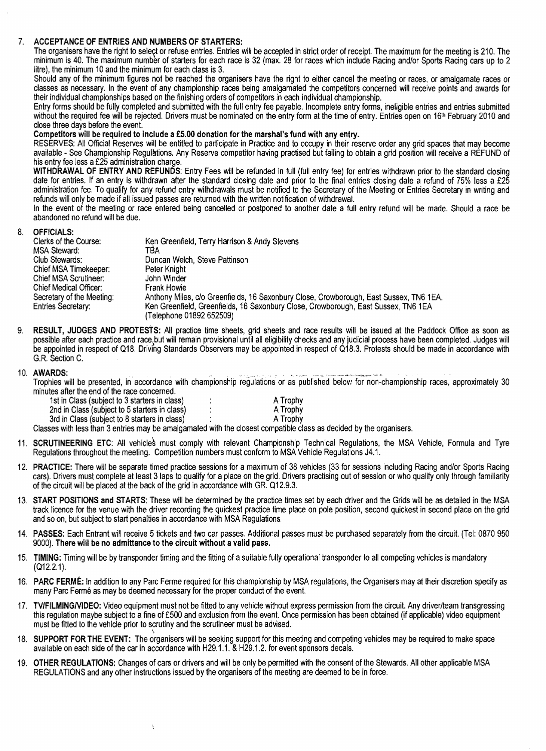### 7. ACCEPTANCE OF ENTRIES AND NUMBERS OF STARTERS:

The organisers have the right to select or refuse entries. Entries will be accepted in strict order of receipt. The maximum for the meeting is 210. The minimum is 40. The maximum number of starters for each race is 32 (max. 28 for races which include Racing and/or Sports Racing cars up to 2 litre), the minimum 10 and the minimum for each class is 3.

Should any of the minimum figures not be reached the organisers have the right to either cancel the meeting or races, or amalgamate races or classes as necessary. In the event of any championship races being amalgamated the competitors concerned will receive points and awards for their individual championships based on the finishing orders of competitors in each individual championship.

Entry forms should be fully completed and submitted with the full entry fee payable. Incomplete entry forms, ineligible entries and entries submitted without the required fee will be rejected. Drivers must be nominated on the entry form at the time of entry. Entries open on 16<sup>th</sup> February 2010 and close three days before the event.

# Competitors will be required to include a£5.00 donation for the marshal's fund with any entry.

RESERVES: All Official Reserves will be entitled to participate in Practice and to occupy in their reserve order any grid spaces that may become available - See Championship RegulBtions. Any Reserve competitor having practised but failing to obtain a grid position will receive a REFUND of his entry fee less a£25 administration charge.

WITHDRAWAL OF ENTRY AND REFUNDS: Entry Fees will be refunded in full (full entry fee) for entries withdrawn prior to the standard closing date for entries. If an entry is withdrawn after the standard closing date and prior to the final entries closing date a refund of 75% less a £25 administration fee. To qualify for any refund entry withdrawals must be notified to the Secretary of the Meeting or Entries Secretary in writing and refunds will only be made if all issued passes are returned with the written notification of withdrawal.

In the event of the meeting or race entered being cancelled or postponed to another date a full entry refund will be made. Should a race be abandoned no refund will be due.

# 8. OFFICIALS:

| Ken Greenfield, Terry Harrison & Andy Stevens                                          |
|----------------------------------------------------------------------------------------|
| TBA                                                                                    |
| Duncan Welch, Steve Pattinson                                                          |
| Peter Knight                                                                           |
| John Winder                                                                            |
| Frank Howie                                                                            |
| Anthony Miles, c/o Greenfields, 16 Saxonbury Close, Crowborough, East Sussex, TN6 1EA. |
| Ken Greenfield, Greenfields, 16 Saxonbury Close, Crowborough, East Sussex, TN6 1EA     |
| (Telephone 01892 652509)                                                               |
|                                                                                        |

RESULT, JUDGES AND PROTESTS: All practice time sheets, grid sheets and race results will be issued at the Paddock Office as soon as possible after each practice and race,but will remain provisional until all eligibility checks and any judicial process have been completed. Judges will be appointed in respect of Q18. Driving Standards Observers may be appointed in respect of Q18.3. Protests should be made in accordance with G.R. Section C.

10. AWARDS: .. . '.\_ \_. Trophies will be presented, in accordance with championship regulations or as published below for non-championship races, approximately 30 minutes after the end of the race concerned.

| 1st in Class (subject to 3 starters in class)                                       | A Trophy |
|-------------------------------------------------------------------------------------|----------|
| 2nd in Class (subject to 5 starters in class)                                       | A Trophy |
| 3rd in Class (subject to 8 starters in class)                                       | A Trophy |
| aan wiikh laan ibaa 9 aalalaa waxa ka amalamaatad wiikh iba oloogat gammalikla oloo |          |

ţ

Classes with less than 3entries may be amalgamated with the closest compatible class as decided by the organisers.

- 11. SCRUTINEERING ETC: All vehicles must comply with relevant Championship Technical Regulations, the MSA Vehicle, Formula and Tyre Regulations throughout the meeting. Competition numbers must conform to MSA Vehicle Regulations J4.1.
- 12. PRACTICE: There will be separate timed practice sessions for a maximum of 38 vehicles (33 for sessions including Racing and/or Sports Racing cars). Drivers must complete at least 3 laps to qualify for a place on the grid. Drivers practising out of session or who qualify only through familiarity of the circuit will be placed at the back of the grid in accordance with GR. 012.9.3.
- 13. START POSITIONS and STARTS: These will be determined by the practice times set by each driver and the Grids will be as detailed in the MSA track licence for the venue with the driver recording the quickest practice time place on pole position, second quickest in second place on the grid and so on, but subject to start penalties in accordance with MSA Regulations.
- 14. PASSES: Each Entrant will receive 5 tickets and two car passes. Additional passes must be purchased separately from the circuit. (Tel: 0870 950 9000). There will be no admittance to the circuit without a valid pass.
- 15. TIMING: Timing will be by transponder timing and the fitting of a suitable fully operational transponder to all competing vehicles is mandatory (012.2.1).
- 16. PARC FERMÉ: In addition to any Parc Ferme required for this championship by MSA regulations, the Organisers may at their discretion specify as many Parc Fermé as may be deemed necessary for the proper conduct of the event.
- 17. TV/FILMING/VIDEO: Video equipment must not be fitted to any vehicle without express permission from the circuit. Any driver/team transgressing this regulation maybe subject to a fine of £500 and exclusion from the event. Once permission has been obtained (if applicable) video equipment must be fitted to the vehicle prior to scrutiny and the scrutineer must be advised.
- 18. SUPPORT FOR THE EVENT: The organisers will be seeking support for this meeting and competing vehicles may be required to make space available on each side of the car in accordance with H29.1.1. & H29.1.2. for event sponsors decals.
- 19. OTHER REGULATIONS: Changes of cars or drivers and will be only be permitted with the consent of the Stewards. All other applicable MSA REGULATIONS and any other instructions issued by the organisers of the meeting are deemed to be in force.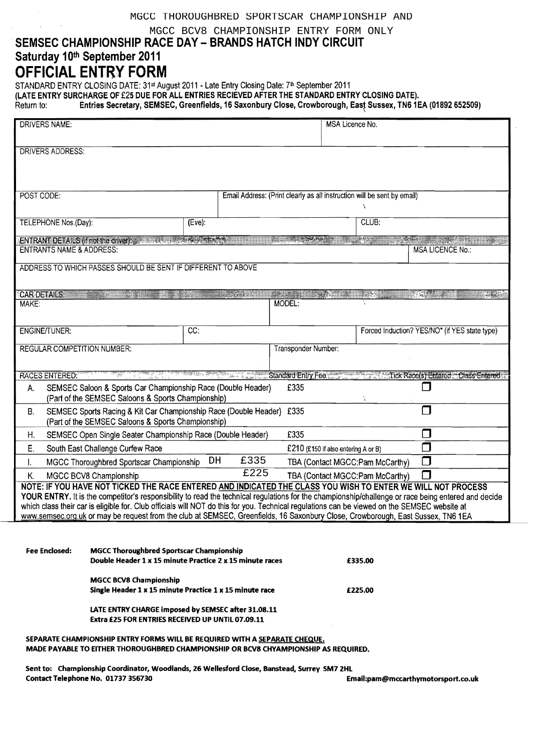# MGCC THOROUGHBRED SPORTSCAR CHAMPIONSHIP AND

MGCC BCV8 CHAMPIONSHIP ENTRY FORM ONLY

# SEMSEC CHAMPIONSHIP RACE DAY - BRANDS HATCH INDY CIRCUIT Saturday 10th September 2011

# **OFFICIAL ENTRY FORM**

STANDARD ENTRY CLOSING DATE: 31st August 2011 - Late Entry Closing Date: 7th September 2011

(LATE ENTRY SURCHARGE OF £25 DUE FOR ALL ENTRIES RECIEVED AFTER THE STANDARD ENTRY CLOSING DATE).

Return to: Entries Secretary, SEMSEC, Greenfields, 16 Saxonbury Close, Crowborough, East Sussex, TN61 EA (01892 652509)

| <b>DRIVERS NAME:</b>                                                                                                                                                                                                                                                                                                                                                                                                                                                                                                                                                                                                                                    |                                                                                                                    |                 |                     |                                                                         | MSA Licence No. |                                   |                                                         |
|---------------------------------------------------------------------------------------------------------------------------------------------------------------------------------------------------------------------------------------------------------------------------------------------------------------------------------------------------------------------------------------------------------------------------------------------------------------------------------------------------------------------------------------------------------------------------------------------------------------------------------------------------------|--------------------------------------------------------------------------------------------------------------------|-----------------|---------------------|-------------------------------------------------------------------------|-----------------|-----------------------------------|---------------------------------------------------------|
| DRIVERS ADDRESS:                                                                                                                                                                                                                                                                                                                                                                                                                                                                                                                                                                                                                                        |                                                                                                                    |                 |                     |                                                                         |                 |                                   |                                                         |
| POST CODE:                                                                                                                                                                                                                                                                                                                                                                                                                                                                                                                                                                                                                                              |                                                                                                                    |                 |                     | Email Address: (Print clearly as all instruction will be sent by email) |                 |                                   |                                                         |
|                                                                                                                                                                                                                                                                                                                                                                                                                                                                                                                                                                                                                                                         |                                                                                                                    |                 |                     |                                                                         |                 | N                                 |                                                         |
| TELEPHONE Nos.(Day):                                                                                                                                                                                                                                                                                                                                                                                                                                                                                                                                                                                                                                    |                                                                                                                    | $(Eve)$ :       |                     |                                                                         |                 | CLUB:                             |                                                         |
| <b>ENTRANTS NAME &amp; ADDRESS:</b>                                                                                                                                                                                                                                                                                                                                                                                                                                                                                                                                                                                                                     | ENTRANT DETAILS (if not the driver). The contract of the state of the state                                        |                 |                     |                                                                         |                 |                                   | <b>MSA LICENCE No.:</b>                                 |
|                                                                                                                                                                                                                                                                                                                                                                                                                                                                                                                                                                                                                                                         | ADDRESS TO WHICH PASSES SHOULD BE SENT IF DIFFERENT TO ABOVE                                                       |                 |                     |                                                                         |                 |                                   |                                                         |
|                                                                                                                                                                                                                                                                                                                                                                                                                                                                                                                                                                                                                                                         |                                                                                                                    |                 |                     |                                                                         |                 |                                   |                                                         |
| <b>CAR DETAILS</b><br>MAKE:                                                                                                                                                                                                                                                                                                                                                                                                                                                                                                                                                                                                                             |                                                                                                                    |                 | <b>Constitution</b> | <b>The Second Control of Second Second</b><br>MODEL:                    |                 | $\mathcal{M} \subset \mathcal{M}$ | $\frac{1}{2}$ . The $\frac{1}{2}$                       |
|                                                                                                                                                                                                                                                                                                                                                                                                                                                                                                                                                                                                                                                         |                                                                                                                    |                 |                     |                                                                         |                 |                                   |                                                         |
| <b>ENGINE/TUNER:</b>                                                                                                                                                                                                                                                                                                                                                                                                                                                                                                                                                                                                                                    |                                                                                                                    | $\overline{CC}$ |                     |                                                                         |                 |                                   | Forced Induction? YES/NO* (if YES state type)           |
| <b>REGULAR COMPETITION NUMBER:</b>                                                                                                                                                                                                                                                                                                                                                                                                                                                                                                                                                                                                                      |                                                                                                                    |                 |                     | Transponder Number:                                                     |                 |                                   |                                                         |
| <b>RACES ENTERED:</b>                                                                                                                                                                                                                                                                                                                                                                                                                                                                                                                                                                                                                                   |                                                                                                                    |                 |                     |                                                                         |                 |                                   | Standard Entry Fee Tick Race(s) Entered. Class Entered. |
| А.                                                                                                                                                                                                                                                                                                                                                                                                                                                                                                                                                                                                                                                      | SEMSEC Saloon & Sports Car Championship Race (Double Header)<br>(Part of the SEMSEC Saloons & Sports Championship) |                 |                     | £335                                                                    |                 |                                   |                                                         |
| $\Box$<br>SEMSEC Sports Racing & Kit Car Championship Race (Double Header) £335<br><b>B.</b><br>(Part of the SEMSEC Saloons & Sports Championship)                                                                                                                                                                                                                                                                                                                                                                                                                                                                                                      |                                                                                                                    |                 |                     |                                                                         |                 |                                   |                                                         |
| Н.                                                                                                                                                                                                                                                                                                                                                                                                                                                                                                                                                                                                                                                      | SEMSEC Open Single Seater Championship Race (Double Header)                                                        |                 |                     | £335                                                                    |                 |                                   | $\Box$                                                  |
| Е.                                                                                                                                                                                                                                                                                                                                                                                                                                                                                                                                                                                                                                                      | South East Challenge Curfew Race                                                                                   |                 |                     | £210 (£150 if also entering A or B)                                     |                 |                                   |                                                         |
| Ι.                                                                                                                                                                                                                                                                                                                                                                                                                                                                                                                                                                                                                                                      | $\Box$<br>£335<br>DH<br>MGCC Thoroughbred Sportscar Championship<br>TBA (Contact MGCC:Pam McCarthy)                |                 |                     |                                                                         |                 |                                   |                                                         |
| $\overline{£225}$<br>$\Box$<br>MGCC BCV8 Championship<br>TBA (Contact MGCC:Pam McCarthy)<br>К.<br>NOTE: IF YOU HAVE NOT TICKED THE RACE ENTERED AND INDICATED THE CLASS YOU WISH TO ENTER WE WILL NOT PROCESS<br>YOUR ENTRY. It is the competitor's responsibility to read the technical regulations for the championship/challenge or race being entered and decide<br>which class their car is eligible for. Club officials will NOT do this for you. Technical regulations can be viewed on the SEMSEC website at<br>www.semsec.org.uk or may be request from the club at SEMSEC, Greenfields, 16 Saxonbury Close, Crowborough, East Sussex, TN6 1EA |                                                                                                                    |                 |                     |                                                                         |                 |                                   |                                                         |
| Fee Enclosed:                                                                                                                                                                                                                                                                                                                                                                                                                                                                                                                                                                                                                                           | <b>MGCC Thoroughbred Sportscar Championship</b><br>Double Header 1 x 15 minute Practice 2 x 15 minute races        |                 |                     |                                                                         |                 | £335.00                           |                                                         |
|                                                                                                                                                                                                                                                                                                                                                                                                                                                                                                                                                                                                                                                         | <b>MGCC BCV8 Championship</b><br>Single Header 1 x 15 minute Practice 1 x 15 minute race                           |                 |                     |                                                                         |                 | £225.00                           |                                                         |

LATE ENTRY CHARGE imposed by SEMSEC after 31.08.11 Extra £25 FOR ENTRIES RECEIVED UP UNTIL 07.09.11

SEPARATE CHAMPIONSHIP ENTRY FORMS WILL BE REQUIRED WITH A SEPARATE CHEQUE. MADE PAYABLE TO EITHER THOROUGHBRED CHAMPIONSHIP OR BCV8 CHYAMPIONSHIP AS REQUIRED.

Sent to: Championship Coordinator, Woodlands, 26 Wellesford Close, Banstead, Surrey SM72HL Contact Telephone No. 01737356730 Emall:pam@mccarthymotorsport.co.uk